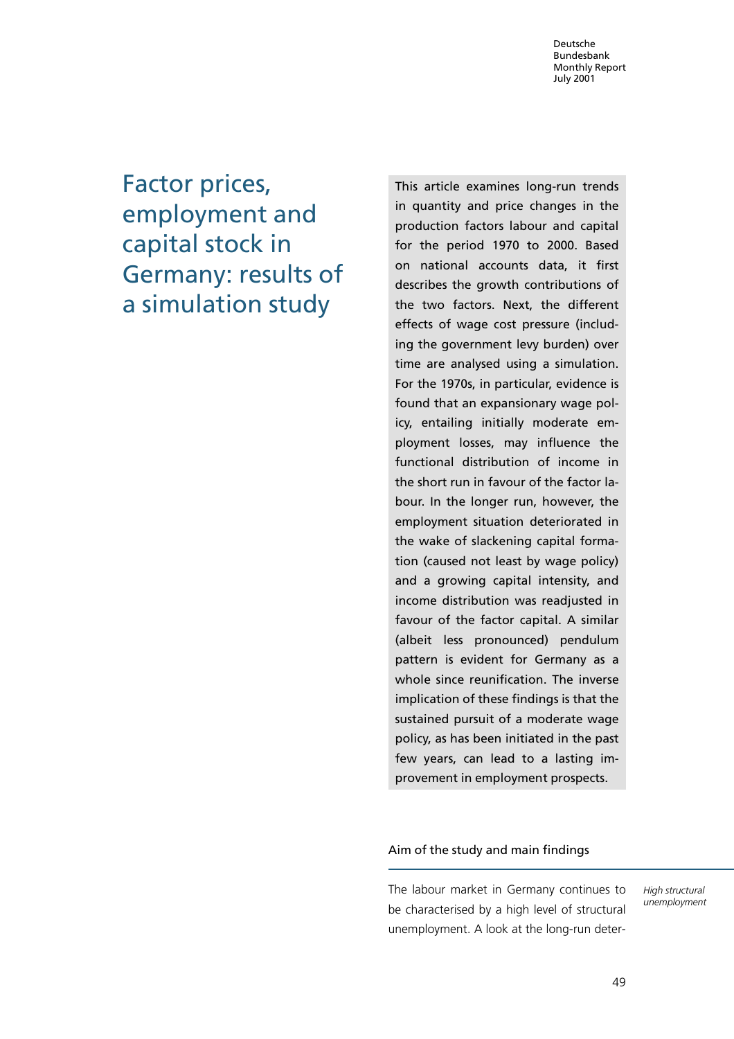# Factor prices, employment and capital stock in Germany: results of a simulation study

This article examines long-run trends in quantity and price changes in the production factors labour and capital for the period 1970 to 2000. Based on national accounts data, it first describes the growth contributions of the two factors. Next, the different effects of wage cost pressure (including the government levy burden) over time are analysed using a simulation. For the 1970s, in particular, evidence is found that an expansionary wage policy, entailing initially moderate employment losses, may influence the functional distribution of income in the short run in favour of the factor labour. In the longer run, however, the employment situation deteriorated in the wake of slackening capital formation (caused not least by wage policy) and a growing capital intensity, and income distribution was readjusted in favour of the factor capital. A similar (albeit less pronounced) pendulum pattern is evident for Germany as a whole since reunification. The inverse implication of these findings is that the sustained pursuit of a moderate wage policy, as has been initiated in the past few years, can lead to a lasting improvement in employment prospects.

# Aim of the study and main findings

The labour market in Germany continues to be characterised by a high level of structural unemployment. A look at the long-run deterHigh structural unemployment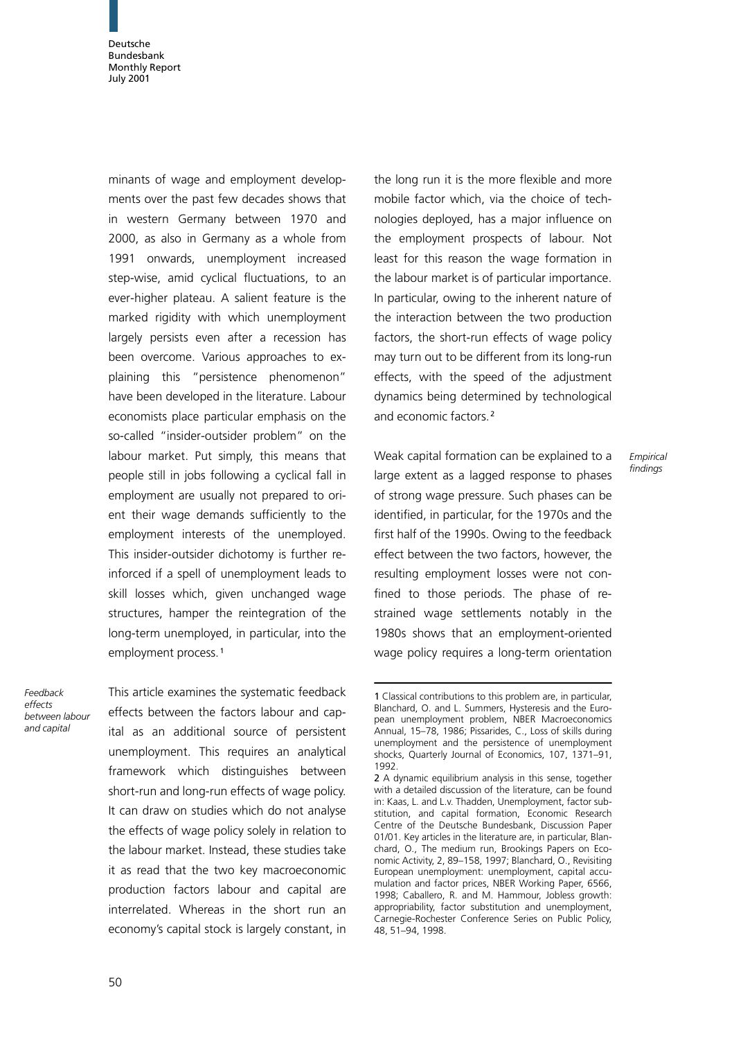minants of wage and employment developments over the past few decades shows that in western Germany between 1970 and 2000, as also in Germany as a whole from 1991 onwards, unemployment increased step-wise, amid cyclical fluctuations, to an ever-higher plateau. A salient feature is the marked rigidity with which unemployment largely persists even after a recession has been overcome. Various approaches to explaining this "persistence phenomenon" have been developed in the literature. Labour economists place particular emphasis on the so-called "insider-outsider problem" on the labour market. Put simply, this means that people still in jobs following a cyclical fall in employment are usually not prepared to orient their wage demands sufficiently to the employment interests of the unemployed. This insider-outsider dichotomy is further reinforced if a spell of unemployment leads to skill losses which, given unchanged wage structures, hamper the reintegration of the long-term unemployed, in particular, into the employment process. <sup>1</sup>

Feedback effects between labour and capital

This article examines the systematic feedback effects between the factors labour and capital as an additional source of persistent unemployment. This requires an analytical framework which distinguishes between short-run and long-run effects of wage policy. It can draw on studies which do not analyse the effects of wage policy solely in relation to the labour market. Instead, these studies take it as read that the two key macroeconomic production factors labour and capital are interrelated. Whereas in the short run an economy's capital stock is largely constant, in

the long run it is the more flexible and more mobile factor which, via the choice of technologies deployed, has a major influence on the employment prospects of labour. Not least for this reason the wage formation in the labour market is of particular importance. In particular, owing to the inherent nature of the interaction between the two production factors, the short-run effects of wage policy may turn out to be different from its long-run effects, with the speed of the adjustment dynamics being determined by technological and economic factors. <sup>2</sup>

Weak capital formation can be explained to a large extent as a lagged response to phases of strong wage pressure. Such phases can be identified, in particular, for the 1970s and the first half of the 1990s. Owing to the feedback effect between the two factors, however, the resulting employment losses were not confined to those periods. The phase of restrained wage settlements notably in the 1980s shows that an employment-oriented wage policy requires a long-term orientation

**Empirical** findings

<sup>1</sup> Classical contributions to this problem are, in particular, Blanchard, O. and L. Summers, Hysteresis and the European unemployment problem, NBER Macroeconomics Annual, 15–78, 1986; Pissarides, C., Loss of skills during unemployment and the persistence of unemployment shocks, Quarterly Journal of Economics, 107, 1371–91, 1992.

<sup>2</sup> A dynamic equilibrium analysis in this sense, together with a detailed discussion of the literature, can be found in: Kaas, L. and L.v. Thadden, Unemployment, factor substitution, and capital formation, Economic Research Centre of the Deutsche Bundesbank, Discussion Paper 01/01. Key articles in the literature are, in particular, Blanchard, O., The medium run, Brookings Papers on Economic Activity, 2, 89–158, 1997; Blanchard, O., Revisiting European unemployment: unemployment, capital accumulation and factor prices, NBER Working Paper, 6566, 1998; Caballero, R. and M. Hammour, Jobless growth: appropriability, factor substitution and unemployment, Carnegie-Rochester Conference Series on Public Policy, 48, 51–94, 1998.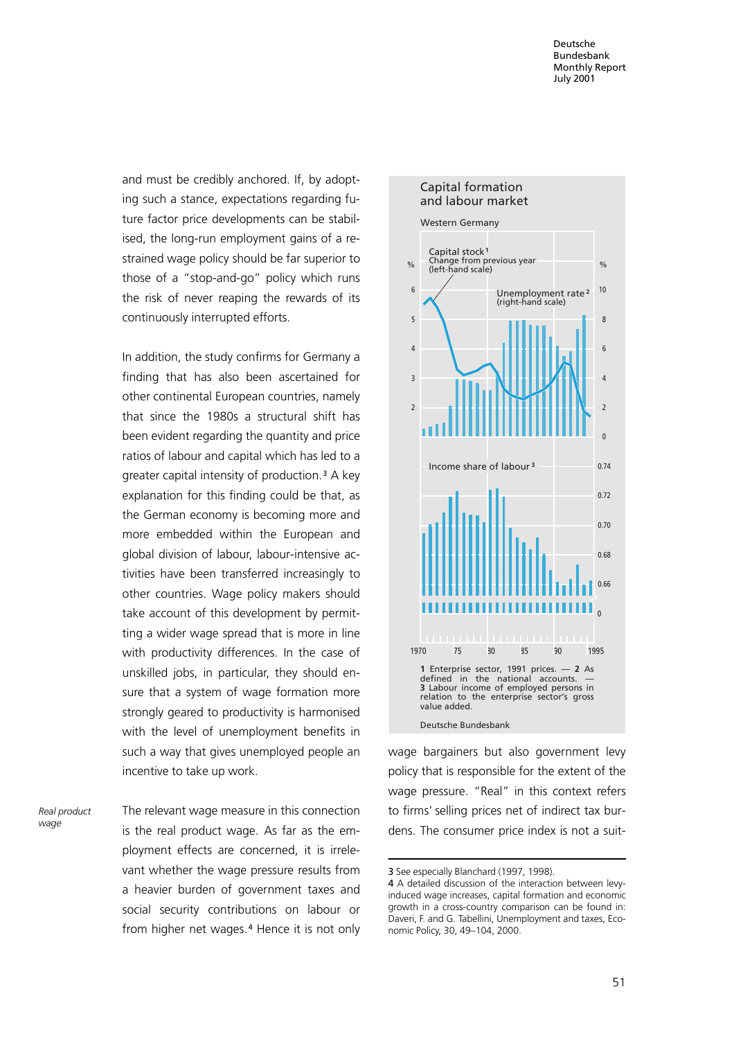and must be credibly anchored. If, by adopting such a stance, expectations regarding future factor price developments can be stabilised, the long-run employment gains of a restrained wage policy should be far superior to those of a "stop-and-go" policy which runs the risk of never reaping the rewards of its continuously interrupted efforts.

In addition, the study confirms for Germany a finding that has also been ascertained for other continental European countries, namely that since the 1980s a structural shift has been evident regarding the quantity and price ratios of labour and capital which has led to a greater capital intensity of production.<sup>3</sup> A key explanation for this finding could be that, as the German economy is becoming more and more embedded within the European and global division of labour, labour-intensive activities have been transferred increasingly to other countries. Wage policy makers should take account of this development by permitting a wider wage spread that is more in line with productivity differences. In the case of unskilled jobs, in particular, they should ensure that a system of wage formation more strongly geared to productivity is harmonised with the level of unemployment benefits in such a way that gives unemployed people an incentive to take up work.

The relevant wage measure in this connection is the real product wage. As far as the employment effects are concerned, it is irrelevant whether the wage pressure results from a heavier burden of government taxes and social security contributions on labour or from higher net wages.<sup>4</sup> Hence it is not only Real product wage



wage bargainers but also government levy policy that is responsible for the extent of the wage pressure. "Real" in this context refers to firms' selling prices net of indirect tax burdens. The consumer price index is not a suit-

<sup>3</sup> See especially Blanchard (1997, 1998).

<sup>4</sup> A detailed discussion of the interaction between levyinduced wage increases, capital formation and economic growth in a cross-country comparison can be found in: Daveri, F. and G. Tabellini, Unemployment and taxes, Economic Policy, 30, 49–104, 2000.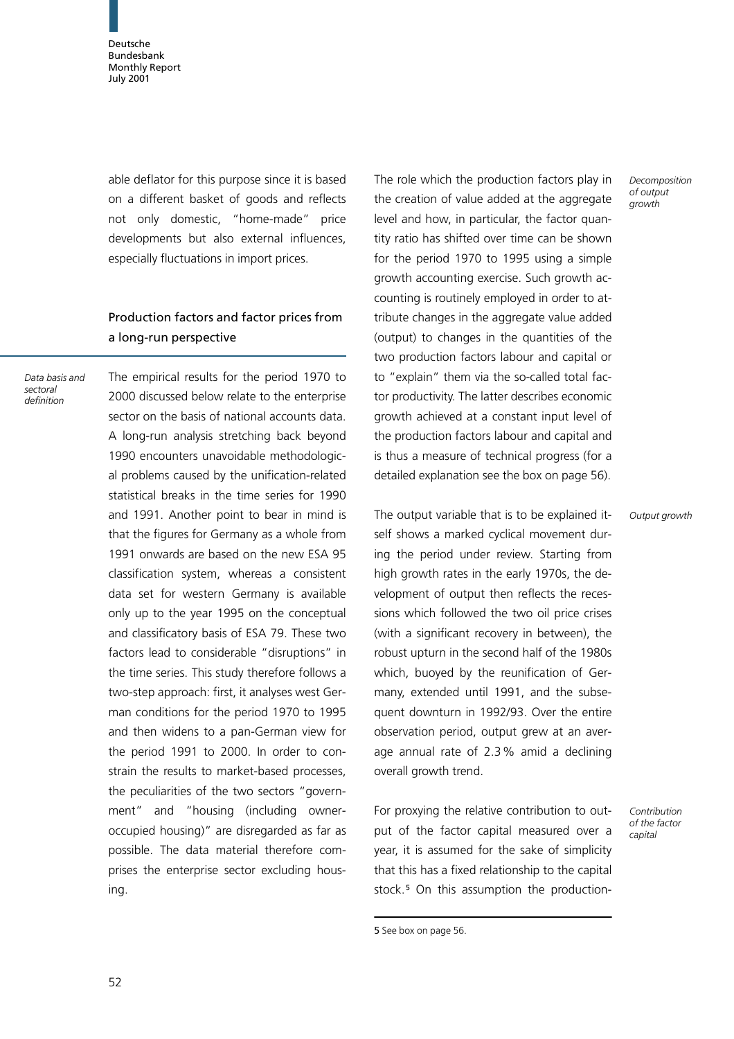able deflator for this purpose since it is based on a different basket of goods and reflects not only domestic, "home-made" price developments but also external influences, especially fluctuations in import prices.

# Production factors and factor prices from a long-run perspective

Data basis and sectoral definition

The empirical results for the period 1970 to 2000 discussed below relate to the enterprise sector on the basis of national accounts data. A long-run analysis stretching back beyond 1990 encounters unavoidable methodological problems caused by the unification-related statistical breaks in the time series for 1990 and 1991. Another point to bear in mind is that the figures for Germany as a whole from 1991 onwards are based on the new ESA 95 classification system, whereas a consistent data set for western Germany is available only up to the year 1995 on the conceptual and classificatory basis of ESA 79. These two factors lead to considerable "disruptions" in the time series. This study therefore follows a two-step approach: first, it analyses west German conditions for the period 1970 to 1995 and then widens to a pan-German view for the period 1991 to 2000. In order to constrain the results to market-based processes, the peculiarities of the two sectors "government" and "housing (including owneroccupied housing)" are disregarded as far as possible. The data material therefore comprises the enterprise sector excluding housing.

The role which the production factors play in the creation of value added at the aggregate level and how, in particular, the factor quantity ratio has shifted over time can be shown for the period 1970 to 1995 using a simple growth accounting exercise. Such growth accounting is routinely employed in order to attribute changes in the aggregate value added (output) to changes in the quantities of the two production factors labour and capital or to "explain" them via the so-called total factor productivity. The latter describes economic growth achieved at a constant input level of the production factors labour and capital and is thus a measure of technical progress (for a detailed explanation see the box on page 56).

The output variable that is to be explained itself shows a marked cyclical movement during the period under review. Starting from high growth rates in the early 1970s, the development of output then reflects the recessions which followed the two oil price crises (with a significant recovery in between), the robust upturn in the second half of the 1980s which, buoyed by the reunification of Germany, extended until 1991, and the subsequent downturn in 1992/93. Over the entire observation period, output grew at an average annual rate of 2.3% amid a declining overall growth trend.

For proxying the relative contribution to output of the factor capital measured over a year, it is assumed for the sake of simplicity that this has a fixed relationship to the capital stock.<sup>5</sup> On this assumption the productionDecomposition of output growth

Output growth

Contribution of the factor capital

<sup>5</sup> See box on page 56.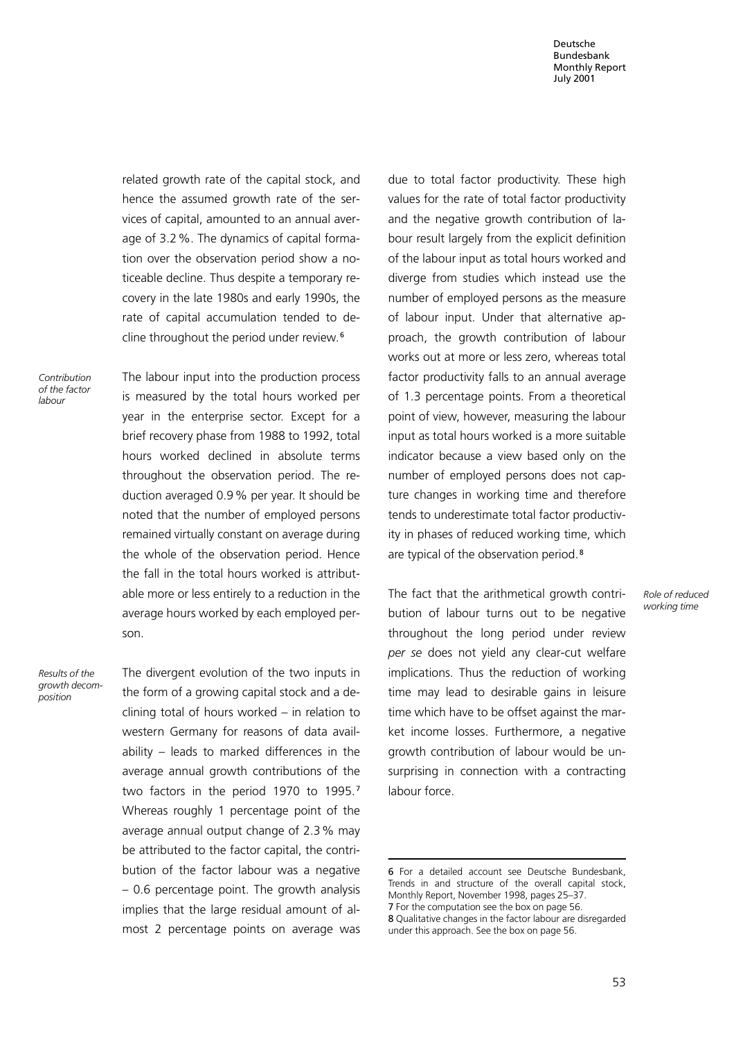related growth rate of the capital stock, and hence the assumed growth rate of the services of capital, amounted to an annual average of 3.2%. The dynamics of capital formation over the observation period show a noticeable decline. Thus despite a temporary recovery in the late 1980s and early 1990s, the rate of capital accumulation tended to decline throughout the period under review.<sup>6</sup>

Contribution of the factor labour

The labour input into the production process is measured by the total hours worked per year in the enterprise sector. Except for a brief recovery phase from 1988 to 1992, total hours worked declined in absolute terms throughout the observation period. The reduction averaged 0.9% per year. It should be noted that the number of employed persons remained virtually constant on average during the whole of the observation period. Hence the fall in the total hours worked is attributable more or less entirely to a reduction in the average hours worked by each employed person.

Results of the growth decomposition

The divergent evolution of the two inputs in the form of a growing capital stock and a declining total of hours worked  $-$  in relation to western Germany for reasons of data availability – leads to marked differences in the average annual growth contributions of the two factors in the period 1970 to 1995.<sup>7</sup> Whereas roughly 1 percentage point of the average annual output change of 2.3% may be attributed to the factor capital, the contribution of the factor labour was a negative – 0.6 percentage point. The growth analysis implies that the large residual amount of almost 2 percentage points on average was due to total factor productivity. These high values for the rate of total factor productivity and the negative growth contribution of labour result largely from the explicit definition of the labour input as total hours worked and diverge from studies which instead use the number of employed persons as the measure of labour input. Under that alternative approach, the growth contribution of labour works out at more or less zero, whereas total factor productivity falls to an annual average of 1.3 percentage points. From a theoretical point of view, however, measuring the labour input as total hours worked is a more suitable indicator because a view based only on the number of employed persons does not capture changes in working time and therefore tends to underestimate total factor productivity in phases of reduced working time, which are typical of the observation period.<sup>8</sup>

The fact that the arithmetical growth contribution of labour turns out to be negative throughout the long period under review per se does not yield any clear-cut welfare implications. Thus the reduction of working time may lead to desirable gains in leisure time which have to be offset against the market income losses. Furthermore, a negative growth contribution of labour would be unsurprising in connection with a contracting labour force.

Role of reduced working time

<sup>6</sup> For a detailed account see Deutsche Bundesbank, Trends in and structure of the overall capital stock, Monthly Report, November 1998, pages 25-37. 7 For the computation see the box on page 56.

<sup>8</sup> Qualitative changes in the factor labour are disregarded under this approach. See the box on page 56.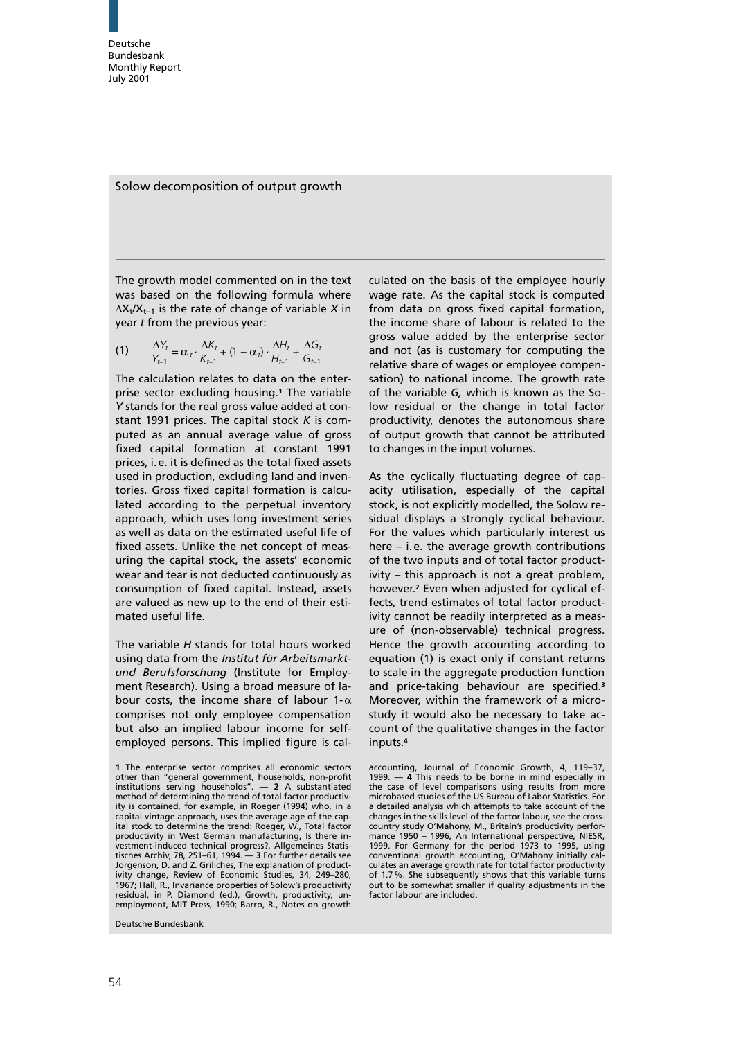Solow decomposition of output growth

The growth model commented on in the text was based on the following formula where  $\Delta X_t/X_{t-1}$  is the rate of change of variable X in year t from the previous year:

(1) 
$$
\frac{\Delta Y_t}{Y_{t-1}} = \alpha_t \cdot \frac{\Delta K_t}{K_{t-1}} + (1 - \alpha_t) \cdot \frac{\Delta H_t}{H_{t-1}} + \frac{\Delta G_t}{G_{t-1}}
$$

The calculation relates to data on the enterprise sector excluding housing.<sup>1</sup> The variable Y stands for the real gross value added at constant 1991 prices. The capital stock  $K$  is computed as an annual average value of gross fixed capital formation at constant 1991 prices, i. e. it is defined as the total fixed assets used in production, excluding land and inventories. Gross fixed capital formation is calculated according to the perpetual inventory approach, which uses long investment series as well as data on the estimated useful life of fixed assets. Unlike the net concept of measuring the capital stock, the assets' economic wear and tear is not deducted continuously as consumption of fixed capital. Instead, assets are valued as new up to the end of their estimated useful life.

The variable H stands for total hours worked using data from the Institut für Arbeitsmarktund Berufsforschung (Institute for Employment Research). Using a broad measure of labour costs, the income share of labour 1- $\alpha$ comprises not only employee compensation but also an implied labour income for selfemployed persons. This implied figure is cal-

Deutsche Bundesbank

culated on the basis of the employee hourly wage rate. As the capital stock is computed from data on gross fixed capital formation, the income share of labour is related to the gross value added by the enterprise sector and not (as is customary for computing the relative share of wages or employee compensation) to national income. The growth rate of the variable G, which is known as the Solow residual or the change in total factor productivity, denotes the autonomous share of output growth that cannot be attributed to changes in the input volumes.

As the cyclically fluctuating degree of capacity utilisation, especially of the capital stock, is not explicitly modelled, the Solow residual displays a strongly cyclical behaviour. For the values which particularly interest us here – i. e. the average growth contributions of the two inputs and of total factor productivity – this approach is not a great problem, however.<sup>2</sup> Even when adjusted for cyclical effects, trend estimates of total factor productivity cannot be readily interpreted as a measure of (non-observable) technical progress. Hence the growth accounting according to equation (1) is exact only if constant returns to scale in the aggregate production function and price-taking behaviour are specified.<sup>3</sup> Moreover, within the framework of a microstudy it would also be necessary to take account of the qualitative changes in the factor inputs.<sup>4</sup>

<sup>1</sup> The enterprise sector comprises all economic sectors other than "general government, households, non-profit institutions serving households". — 2 A substantiated method of determining the trend of total factor productivity is contained, for example, in Roeger (1994) who, in a capital vintage approach, uses the average age of the capital stock to determine the trend: Roeger, W., Total factor productivity in West German manufacturing, Is there investment-induced technical progress?, Allgemeines Statistisches Archiv, 78, 251–61, 1994. — 3 For further details see Jorgenson, D. and Z. Griliches, The explanation of productivity change, Review of Economic Studies, 34, 249–280, 1967; Hall, R., Invariance properties of Solow's productivity residual, in P. Diamond (ed.), Growth, productivity, un-employment, MITPress, 1990; Barro, R., Notes on growth

accounting, Journal of Economic Growth, 4, 119–37, 1999. — 4 This needs to be borne in mind especially in the case of level comparisons using results from more microbased studies of the US Bureau of Labor Statistics. For a detailed analysis which attempts to take account of the changes in the skills level of the factor labour, see the crosscountry study O'Mahony, M., Britain's productivity perfor-mance 1950 – 1996, An International perspective, NIESR, 1999. For Germany for the period 1973 to 1995, using conventional growth accounting, O'Mahony initially calculates an average growth rate for total factor productivity of 1.7%. She subsequently shows that this variable turns out to be somewhat smaller if quality adjustments in the factor labour are included.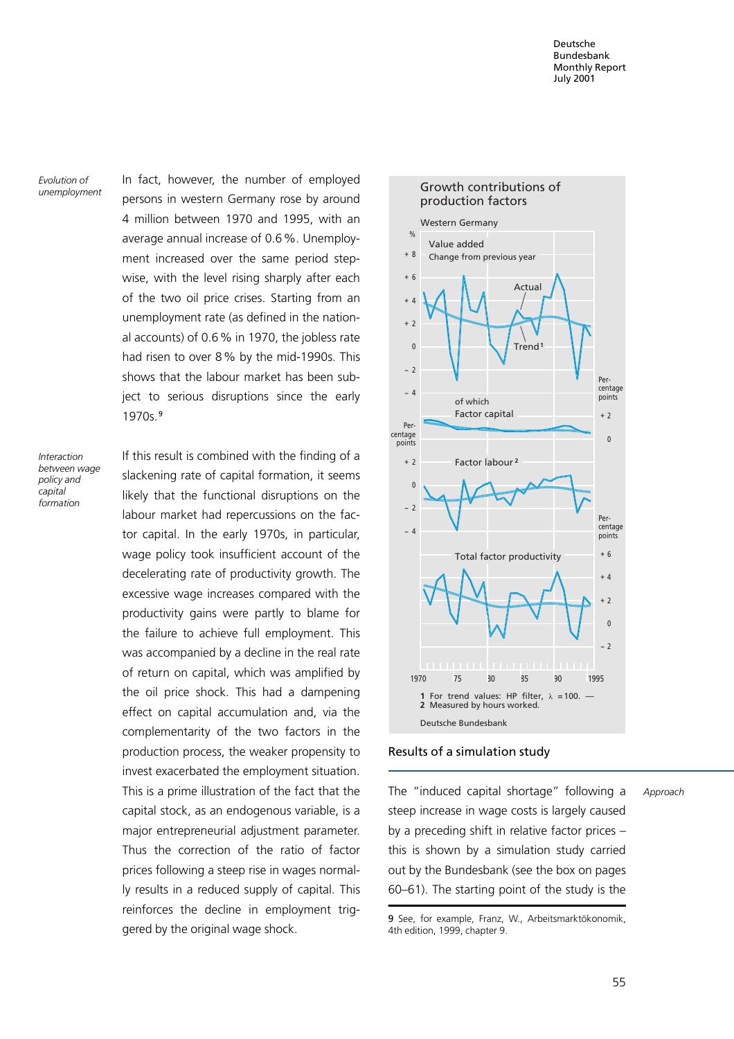Evolution of unemployment In fact, however, the number of employed persons in western Germany rose by around 4 million between 1970 and 1995, with an average annual increase of 0.6%. Unemployment increased over the same period stepwise, with the level rising sharply after each of the two oil price crises. Starting from an unemployment rate (as defined in the national accounts) of 0.6% in 1970, the jobless rate had risen to over 8% by the mid-1990s. This shows that the labour market has been subject to serious disruptions since the early 1970s.<sup>9</sup>

Interaction between wage policy and capital formation

If this result is combined with the finding of a slackening rate of capital formation, it seems likely that the functional disruptions on the labour market had repercussions on the factor capital. In the early 1970s, in particular, wage policy took insufficient account of the decelerating rate of productivity growth. The excessive wage increases compared with the productivity gains were partly to blame for the failure to achieve full employment. This was accompanied by a decline in the real rate of return on capital, which was amplified by the oil price shock. This had a dampening effect on capital accumulation and, via the complementarity of the two factors in the production process, the weaker propensity to invest exacerbated the employment situation. This is a prime illustration of the fact that the capital stock, as an endogenous variable, is a major entrepreneurial adjustment parameter. Thus the correction of the ratio of factor prices following a steep rise in wages normally results in a reduced supply of capital. This reinforces the decline in employment triggered by the original wage shock.



# Results of a simulation study

The "induced capital shortage" following a steep increase in wage costs is largely caused by a preceding shift in relative factor prices – this is shown by a simulation study carried out by the Bundesbank (see the box on pages 60–61). The starting point of the study is the

Approach

<sup>9</sup> See, for example, Franz, W., Arbeitsmarktökonomik, 4th edition, 1999, chapter 9.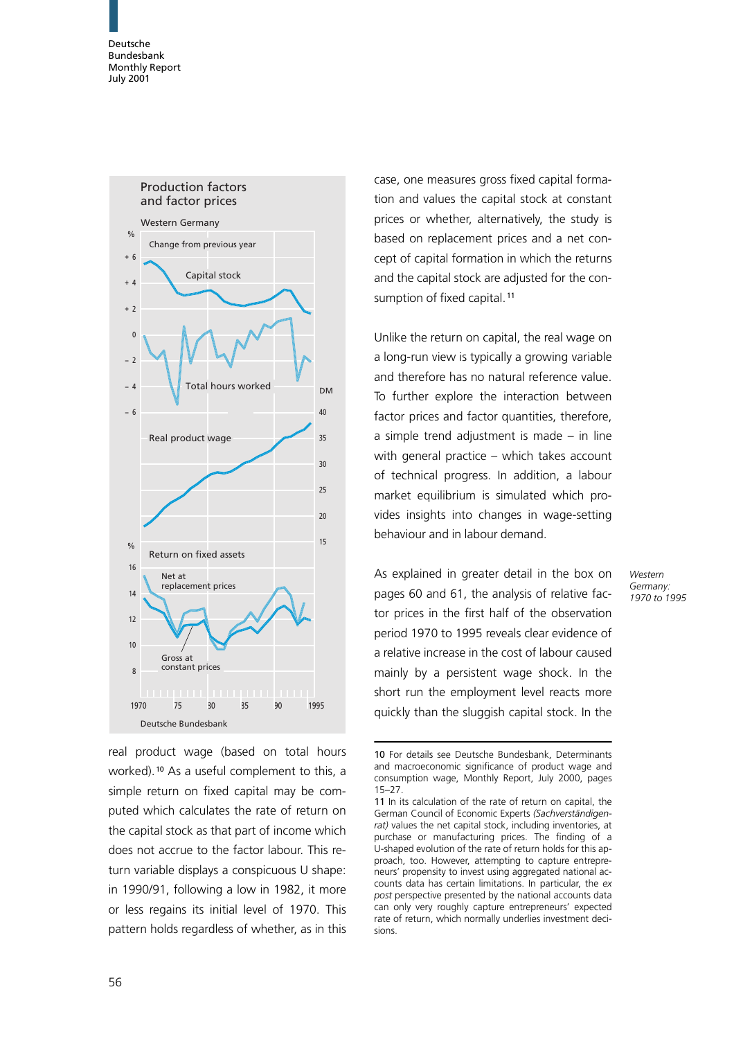

real product wage (based on total hours worked).<sup>10</sup> As a useful complement to this, a simple return on fixed capital may be computed which calculates the rate of return on the capital stock as that part of income which does not accrue to the factor labour. This return variable displays a conspicuous U shape: in 1990/91, following a low in 1982, it more or less regains its initial level of 1970. This pattern holds regardless of whether, as in this

case, one measures gross fixed capital formation and values the capital stock at constant prices or whether, alternatively, the study is based on replacement prices and a net concept of capital formation in which the returns and the capital stock are adjusted for the consumption of fixed capital.<sup>11</sup>

Unlike the return on capital, the real wage on a long-run view is typically a growing variable and therefore has no natural reference value. To further explore the interaction between factor prices and factor quantities, therefore, a simple trend adjustment is made – in line with general practice  $-$  which takes account of technical progress. In addition, a labour market equilibrium is simulated which provides insights into changes in wage-setting behaviour and in labour demand.

As explained in greater detail in the box on pages 60 and 61, the analysis of relative factor prices in the first half of the observation period 1970 to 1995 reveals clear evidence of a relative increase in the cost of labour caused mainly by a persistent wage shock. In the short run the employment level reacts more quickly than the sluggish capital stock. In the

Western Germany: 1970 to 1995

<sup>10</sup> For details see Deutsche Bundesbank, Determinants and macroeconomic significance of product wage and consumption wage, Monthly Report, July 2000, pages 15–27.

<sup>11</sup> In its calculation of the rate of return on capital, the German Council of Economic Experts (Sachverständigenrat) values the net capital stock, including inventories, at purchase or manufacturing prices. The finding of a U-shaped evolution of the rate of return holds for this approach, too. However, attempting to capture entrepreneurs' propensity to invest using aggregated national accounts data has certain limitations. In particular, the expost perspective presented by the national accounts data can only very roughly capture entrepreneurs' expected rate of return, which normally underlies investment decisions.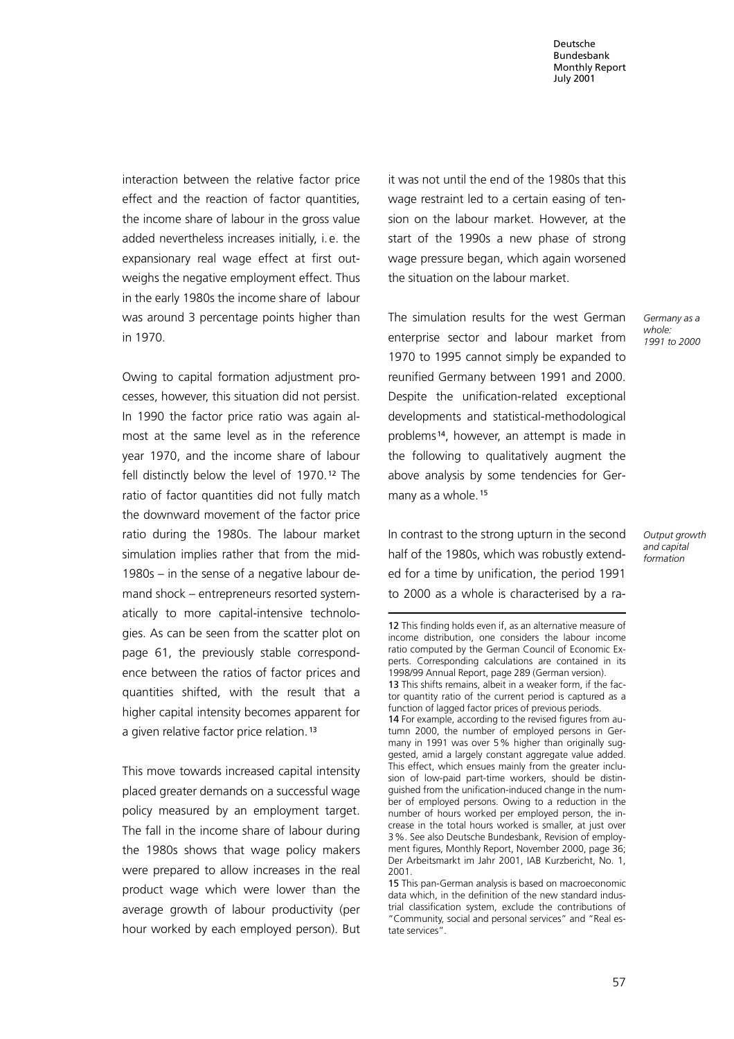interaction between the relative factor price effect and the reaction of factor quantities, the income share of labour in the gross value added nevertheless increases initially, i. e. the expansionary real wage effect at first outweighs the negative employment effect. Thus in the early 1980s the income share of labour was around 3 percentage points higher than in 1970.

Owing to capital formation adjustment processes, however, this situation did not persist. In 1990 the factor price ratio was again almost at the same level as in the reference year 1970, and the income share of labour fell distinctly below the level of 1970.<sup>12</sup> The ratio of factor quantities did not fully match the downward movement of the factor price ratio during the 1980s. The labour market simulation implies rather that from the mid-1980s – in the sense of a negative labour demand shock – entrepreneurs resorted systematically to more capital-intensive technologies. As can be seen from the scatter plot on page 61, the previously stable correspondence between the ratios of factor prices and quantities shifted, with the result that a higher capital intensity becomes apparent for a given relative factor price relation.<sup>13</sup>

This move towards increased capital intensity placed greater demands on a successful wage policy measured by an employment target. The fall in the income share of labour during the 1980s shows that wage policy makers were prepared to allow increases in the real product wage which were lower than the average growth of labour productivity (per hour worked by each employed person). But it was not until the end of the 1980s that this wage restraint led to a certain easing of tension on the labour market. However, at the start of the 1990s a new phase of strong wage pressure began, which again worsened the situation on the labour market.

The simulation results for the west German enterprise sector and labour market from 1970 to 1995 cannot simply be expanded to reunified Germany between 1991 and 2000. Despite the unification-related exceptional developments and statistical-methodological problems<sup>14</sup>, however, an attempt is made in the following to qualitatively augment the above analysis by some tendencies for Germany as a whole.<sup>15</sup>

In contrast to the strong upturn in the second half of the 1980s, which was robustly extended for a time by unification, the period 1991 to 2000 as a whole is characterised by a ra-

12 This finding holds even if, as an alternative measure of

Output growth and capital formation

Germany as a whole: 1991 to 2000

income distribution, one considers the labour income ratio computed by the German Council of Economic Experts. Corresponding calculations are contained in its 1998/99 Annual Report, page 289 (German version). 13 This shifts remains, albeit in a weaker form, if the factor quantity ratio of the current period is captured as a function of lagged factor prices of previous periods. 14 For example, according to the revised figures from autumn 2000, the number of employed persons in Germany in 1991 was over 5% higher than originally suggested, amid a largely constant aggregate value added. This effect, which ensues mainly from the greater inclusion of low-paid part-time workers, should be distinguished from the unification-induced change in the number of employed persons. Owing to a reduction in the number of hours worked per employed person, the increase in the total hours worked is smaller, at just over 3%. See also Deutsche Bundesbank, Revision of employment figures, Monthly Report, November 2000, page 36; Der Arbeitsmarkt im Jahr 2001, IAB Kurzbericht, No. 1, 2001.

<sup>15</sup> This pan-German analysis is based on macroeconomic data which, in the definition of the new standard industrial classification system, exclude the contributions of "Community, social and personal services" and "Real estate services".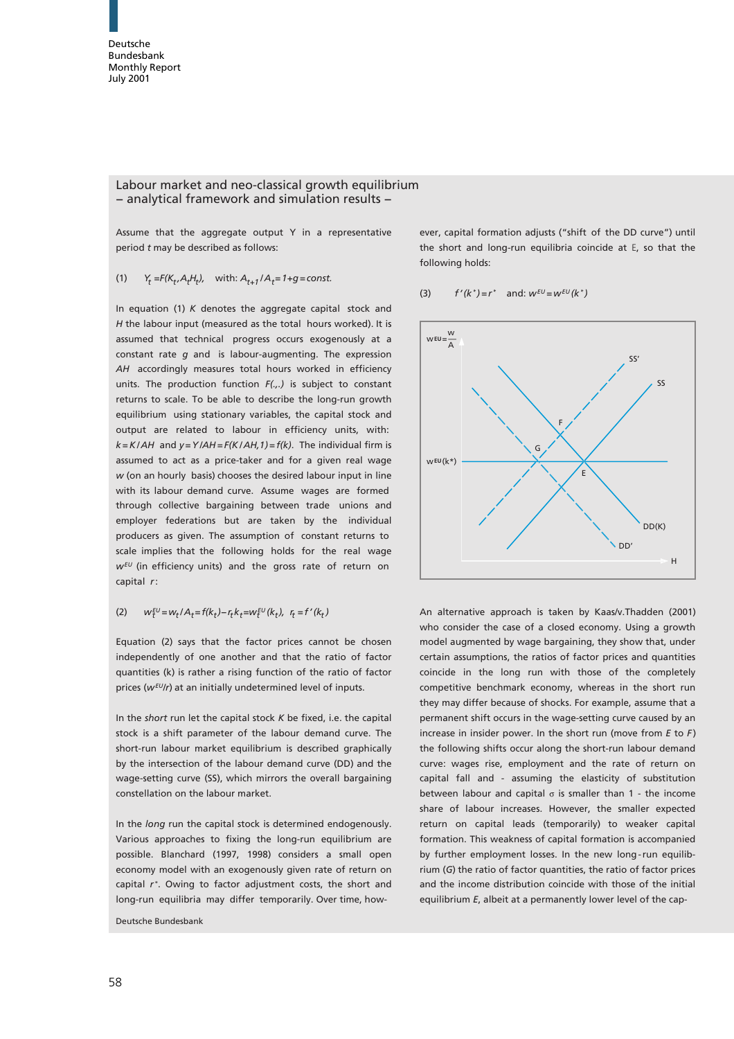## Labour market and neo-classical growth equilibrium − analytical framework and simulation results −

Assume that the aggregate output Y in a representative period *t* may be described as follows:

## $Y_t = F(K_t, A_t H_t)$ , with:  $A_{t+1}/A_t = 1 + g = const.$ (1)

In equation (1) *K* denotes the aggregate capital stock and *H* the labour input (measured as the total hours worked). It is assumed that technical progress occurs exogenously at a constant rate *g* and is labour-augmenting. The expression *AH* accordingly measures total hours worked in efficiency units. The production function *F(.,.)* is subject to constant returns to scale. To be able to describe the long-run growth equilibrium using stationary variables, the capital stock and output are related to labour in efficiency units, with: *k = K / AH* and *y = Y /AH = F(K / AH,1) = f(k)*. The individual firm is assumed to act as a price-taker and for a given real wage *w* (on an hourly basis) chooses the desired labour input in line with its labour demand curve. Assume wages are formed through collective bargaining between trade unions and employer federations but are taken by the individual producers as given. The assumption of constant returns to scale implies that the following holds for the real wage  $w^{EU}$  (in efficiency units) and the gross rate of return on capital *r* :

### $w_t^{EU} = w_t / A_t = f(k_t) - r_t k_t = w_t^{EU}(k_t), r_t = f'(k_t)$ (2)

Equation (2) says that the factor prices cannot be chosen independently of one another and that the ratio of factor quantities (k) is rather a rising function of the ratio of factor prices ( $w^{EU}$ /r) at an initially undetermined level of inputs.

In the *short* run let the capital stock *K* be fixed, i.e. the capital stock is a shift parameter of the labour demand curve. The short-run labour market equilibrium is described graphically by the intersection of the labour demand curve (DD) and the wage-setting curve (SS), which mirrors the overall bargaining constellation on the labour market.

In the *long* run the capital stock is determined endogenously. Various approaches to fixing the long-run equilibrium are possible. Blanchard (1997, 1998) considers a small open economy model with an exogenously given rate of return on capital  $r^*$ . Owing to factor adjustment costs, the short and long-run equilibria may differ temporarily. Over time, how-

Deutsche Bundesbank

ever, capital formation adjusts ("shift of the DD curve") until the short and long-run equilibria coincide at E, so that the following holds:

#### $f'(k^*) = r^*$  and:  $w^{EU} = w^{EU}(k^*)$ (3)



An alternative approach is taken by Kaas/v.Thadden (2001) who consider the case of a closed economy. Using a growth model augmented by wage bargaining, they show that, under certain assumptions, the ratios of factor prices and quantities coincide in the long run with those of the completely competitive benchmark economy, whereas in the short run they may differ because of shocks. For example, assume that a permanent shift occurs in the wage-setting curve caused by an increase in insider power. In the short run (move from *E* to *F* ) the following shifts occur along the short-run labour demand curve: wages rise, employment and the rate of return on capital fall and - assuming the elasticity of substitution between labour and capital  $\sigma$  is smaller than 1 - the income share of labour increases. However, the smaller expected return on capital leads (temporarily) to weaker capital formation. This weakness of capital formation is accompanied by further employment losses. In the new long-run equilibrium (*G*) the ratio of factor quantities, the ratio of factor prices and the income distribution coincide with those of the initial equilibrium *E*, albeit at a permanently lower level of the cap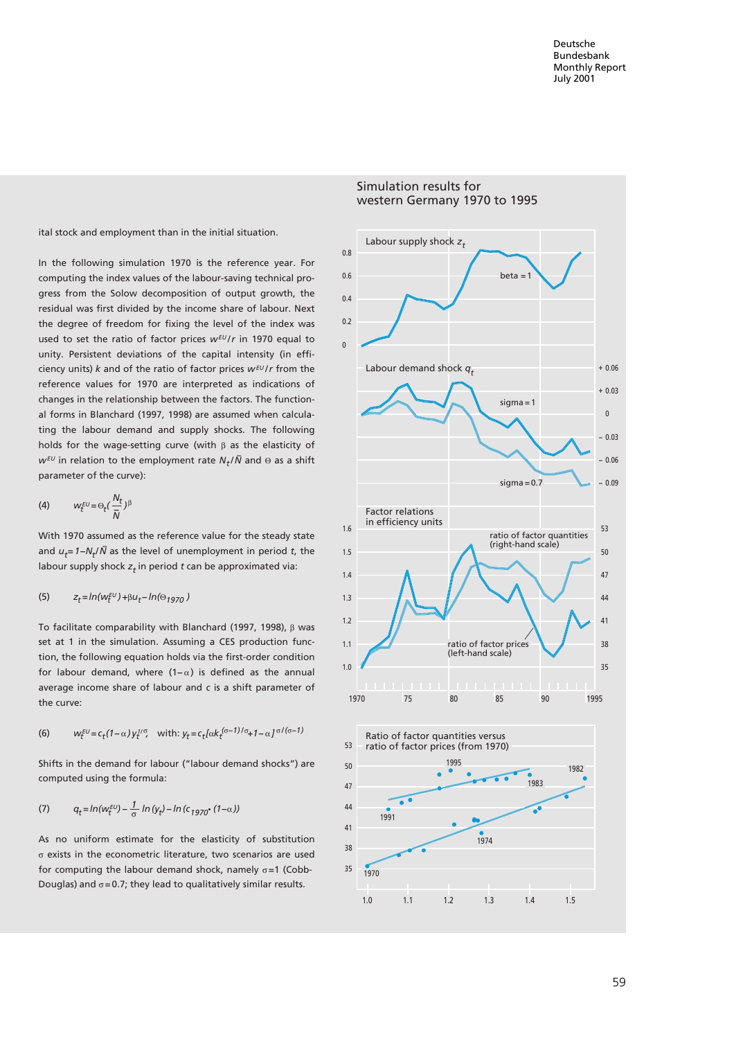ital stock and employment than in the initial situation.

 $w^{\varepsilon U}$  in relation to the employment rate  $N_t/\bar{N}$  and Θ as a shift In the following simulation 1970 is the reference year. For computing the index values of the labour-saving technical progress from the Solow decomposition of output growth, the residual was first divided by the income share of labour. Next the degree of freedom for fixing the level of the index was used to set the ratio of factor prices  $w^{EU}/r$  in 1970 equal to unity. Persistent deviations of the capital intensity (in efficiency units) *k* and of the ratio of factor prices *w EU / r* from the reference values for 1970 are interpreted as indications of changes in the relationship between the factors. The functional forms in Blanchard (1997, 1998) are assumed when calculating the labour demand and supply shocks. The following holds for the wage-setting curve (with β as the elasticity of parameter of the curve):

$$
(4) \hspace{1cm} w_t^{\text{\tiny EU}}\!=\! \Theta_t(\frac{N_t}{\bar{N}})^{\beta}
$$

*t t −* and *u = 1−N / N* as the level of unemployment in period *t*, the *t* labour supply shock *z* in period *t* can be approximated via: With 1970 assumed as the reference value for the steady state

(5) 
$$
z_t = ln(w_t^{\text{EU}}) + \beta u_t - ln(\Theta_{1970})
$$

To facilitate comparability with Blanchard (1997, 1998), β was set at 1 in the simulation. Assuming a CES production function, the following equation holds via the first-order condition for labour demand, where  $(1-\alpha)$  is defined as the annual average income share of labour and *c* is a shift parameter of the curve:

(6) 
$$
w_t^{EU} = c_t (1 - \alpha) y_t^{1/\sigma}
$$
, with:  $y_t = c_t [\alpha k_t^{(\sigma - 1)/\sigma} + 1 - \alpha]^{\sigma/(\sigma - 1)}$ 

Shifts in the demand for labour ("labour demand shocks") are computed using the formula:

(7) 
$$
q_t = \ln(w_t^{EU}) - \frac{1}{\sigma} \ln(y_t) - \ln(c_{1970} \cdot (1-\alpha))
$$

As no uniform estimate for the elasticity of substitution σ exists in the econometric literature, two scenarios are used for computing the labour demand shock, namely  $\sigma$ =1 (Cobb-Douglas) and  $\sigma = 0.7$ ; they lead to qualitatively similar results.

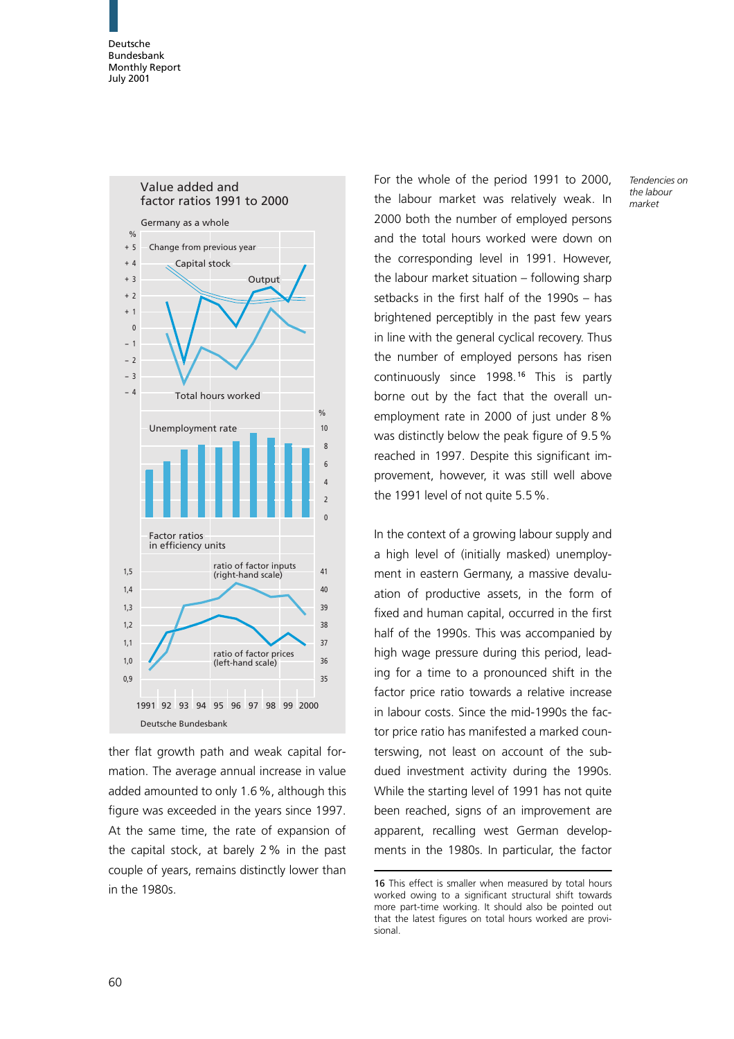

ther flat growth path and weak capital formation. The average annual increase in value added amounted to only 1.6%, although this figure was exceeded in the years since 1997. At the same time, the rate of expansion of the capital stock, at barely 2% in the past couple of years, remains distinctly lower than in the 1980s.

For the whole of the period 1991 to 2000, the labour market was relatively weak. In 2000 both the number of employed persons and the total hours worked were down on the corresponding level in 1991. However, the labour market situation – following sharp setbacks in the first half of the 1990s – has brightened perceptibly in the past few years in line with the general cyclical recovery. Thus the number of employed persons has risen continuously since 1998.<sup>16</sup> This is partly borne out by the fact that the overall unemployment rate in 2000 of just under 8% was distinctly below the peak figure of 9.5% reached in 1997. Despite this significant improvement, however, it was still well above the 1991 level of not quite 5.5%.

In the context of a growing labour supply and a high level of (initially masked) unemployment in eastern Germany, a massive devaluation of productive assets, in the form of fixed and human capital, occurred in the first half of the 1990s. This was accompanied by high wage pressure during this period, leading for a time to a pronounced shift in the factor price ratio towards a relative increase in labour costs. Since the mid-1990s the factor price ratio has manifested a marked counterswing, not least on account of the subdued investment activity during the 1990s. While the starting level of 1991 has not quite been reached, signs of an improvement are apparent, recalling west German developments in the 1980s. In particular, the factor

<sup>16</sup> This effect is smaller when measured by total hours worked owing to a significant structural shift towards more part-time working. It should also be pointed out that the latest figures on total hours worked are provisional.